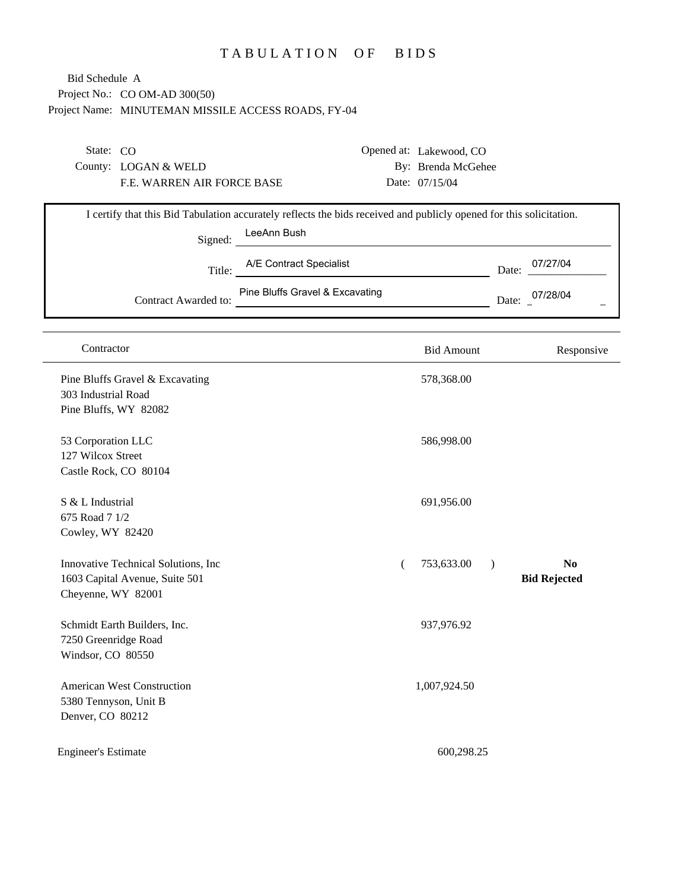## TABULATION OF BIDS

Project No.: CO OM-AD 300(50) Project Name: MINUTEMAN MISSILE ACCESS ROADS, FY-04 Bid Schedule A

| I certify that this Bid Tabulation accurately reflects the bids received and publicly opened for this solicitation. |
|---------------------------------------------------------------------------------------------------------------------|
|                                                                                                                     |
| 07/27/04                                                                                                            |
|                                                                                                                     |

| Contract Awarded to: | Pine Bluffs Gravel & Excavating | Date. | J7/28/04 |
|----------------------|---------------------------------|-------|----------|
|                      |                                 |       |          |

| Contractor                                                                                   | <b>Bid Amount</b>                             | Responsive                            |
|----------------------------------------------------------------------------------------------|-----------------------------------------------|---------------------------------------|
| Pine Bluffs Gravel & Excavating<br>303 Industrial Road<br>Pine Bluffs, WY 82082              | 578,368.00                                    |                                       |
| 53 Corporation LLC<br>127 Wilcox Street<br>Castle Rock, CO 80104                             | 586,998.00                                    |                                       |
| S & L Industrial<br>675 Road 7 1/2<br>Cowley, WY 82420                                       | 691,956.00                                    |                                       |
| Innovative Technical Solutions, Inc.<br>1603 Capital Avenue, Suite 501<br>Cheyenne, WY 82001 | 753,633.00<br>$\mathcal{E}$<br>$\overline{(}$ | N <sub>0</sub><br><b>Bid Rejected</b> |
| Schmidt Earth Builders, Inc.<br>7250 Greenridge Road<br>Windsor, CO 80550                    | 937,976.92                                    |                                       |
| <b>American West Construction</b><br>5380 Tennyson, Unit B<br>Denver, CO 80212               | 1,007,924.50                                  |                                       |
| <b>Engineer's Estimate</b>                                                                   | 600,298.25                                    |                                       |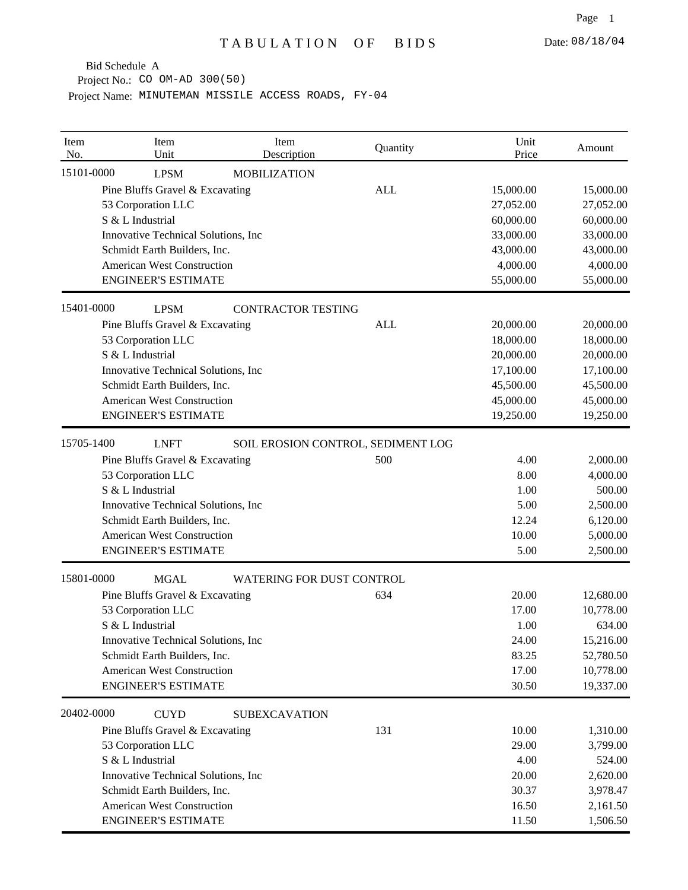Bid Schedule A

Project No.: CO OM-AD 300(50)

Project Name: MINUTEMAN MISSILE ACCESS ROADS, FY-04

| Item<br>No. | Item<br>Unit                         | Item<br>Description              | Quantity                           | Unit<br>Price | Amount    |
|-------------|--------------------------------------|----------------------------------|------------------------------------|---------------|-----------|
| 15101-0000  | <b>LPSM</b>                          | <b>MOBILIZATION</b>              |                                    |               |           |
|             | Pine Bluffs Gravel & Excavating      |                                  | <b>ALL</b>                         | 15,000.00     | 15,000.00 |
|             | 53 Corporation LLC                   |                                  |                                    | 27,052.00     | 27,052.00 |
|             | S & L Industrial                     |                                  |                                    | 60,000.00     | 60,000.00 |
|             | Innovative Technical Solutions, Inc  |                                  |                                    | 33,000.00     | 33,000.00 |
|             | Schmidt Earth Builders, Inc.         |                                  |                                    | 43,000.00     | 43,000.00 |
|             | <b>American West Construction</b>    |                                  |                                    | 4,000.00      | 4,000.00  |
|             | <b>ENGINEER'S ESTIMATE</b>           |                                  |                                    | 55,000.00     | 55,000.00 |
| 15401-0000  | <b>LPSM</b>                          | <b>CONTRACTOR TESTING</b>        |                                    |               |           |
|             | Pine Bluffs Gravel & Excavating      |                                  | <b>ALL</b>                         | 20,000.00     | 20,000.00 |
|             | 53 Corporation LLC                   |                                  |                                    | 18,000.00     | 18,000.00 |
|             | S & L Industrial                     |                                  |                                    | 20,000.00     | 20,000.00 |
|             | Innovative Technical Solutions, Inc. |                                  |                                    | 17,100.00     | 17,100.00 |
|             | Schmidt Earth Builders, Inc.         |                                  |                                    | 45,500.00     | 45,500.00 |
|             | <b>American West Construction</b>    |                                  |                                    | 45,000.00     | 45,000.00 |
|             | <b>ENGINEER'S ESTIMATE</b>           |                                  |                                    | 19,250.00     | 19,250.00 |
| 15705-1400  | <b>LNFT</b>                          |                                  | SOIL EROSION CONTROL, SEDIMENT LOG |               |           |
|             | Pine Bluffs Gravel & Excavating      |                                  | 500                                | 4.00          | 2,000.00  |
|             | 53 Corporation LLC                   |                                  |                                    | 8.00          | 4,000.00  |
|             | S & L Industrial                     |                                  |                                    | 1.00          | 500.00    |
|             | Innovative Technical Solutions, Inc  |                                  |                                    | 5.00          | 2,500.00  |
|             | Schmidt Earth Builders, Inc.         |                                  |                                    | 12.24         | 6,120.00  |
|             | <b>American West Construction</b>    |                                  |                                    | 10.00         | 5,000.00  |
|             | <b>ENGINEER'S ESTIMATE</b>           |                                  |                                    | 5.00          | 2,500.00  |
| 15801-0000  | <b>MGAL</b>                          | <b>WATERING FOR DUST CONTROL</b> |                                    |               |           |
|             | Pine Bluffs Gravel & Excavating      |                                  | 634                                | 20.00         | 12,680.00 |
|             | 53 Corporation LLC                   |                                  |                                    | 17.00         | 10,778.00 |
|             | S & L Industrial                     |                                  |                                    | 1.00          | 634.00    |
|             | Innovative Technical Solutions, Inc  |                                  |                                    | 24.00         | 15,216.00 |
|             | Schmidt Earth Builders, Inc.         |                                  |                                    | 83.25         | 52,780.50 |
|             | <b>American West Construction</b>    |                                  |                                    | 17.00         | 10,778.00 |
|             | <b>ENGINEER'S ESTIMATE</b>           |                                  |                                    | 30.50         | 19,337.00 |
| 20402-0000  | <b>CUYD</b>                          | <b>SUBEXCAVATION</b>             |                                    |               |           |
|             | Pine Bluffs Gravel & Excavating      |                                  | 131                                | 10.00         | 1,310.00  |
|             | 53 Corporation LLC                   |                                  |                                    | 29.00         | 3,799.00  |
|             | S & L Industrial                     |                                  |                                    | 4.00          | 524.00    |
|             | Innovative Technical Solutions, Inc  |                                  |                                    | 20.00         | 2,620.00  |
|             | Schmidt Earth Builders, Inc.         |                                  |                                    | 30.37         | 3,978.47  |
|             | <b>American West Construction</b>    |                                  |                                    | 16.50         | 2,161.50  |
|             | <b>ENGINEER'S ESTIMATE</b>           |                                  |                                    | 11.50         | 1,506.50  |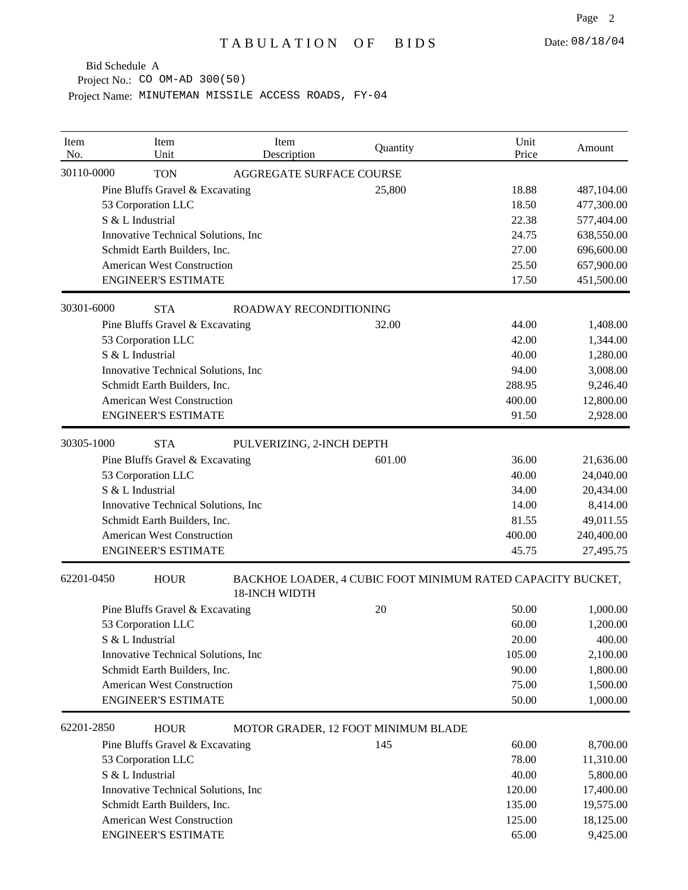Bid Schedule A

Project No.: CO OM-AD 300(50)

Project Name: MINUTEMAN MISSILE ACCESS ROADS, FY-04

| Item<br>No.                         | Item<br>Unit                        | Item<br>Description                                                                 | Quantity | Unit<br>Price | Amount     |
|-------------------------------------|-------------------------------------|-------------------------------------------------------------------------------------|----------|---------------|------------|
| 30110-0000                          | <b>TON</b>                          | AGGREGATE SURFACE COURSE                                                            |          |               |            |
|                                     | Pine Bluffs Gravel & Excavating     |                                                                                     | 25,800   | 18.88         | 487,104.00 |
|                                     | 53 Corporation LLC                  |                                                                                     |          | 18.50         | 477,300.00 |
|                                     | S & L Industrial                    |                                                                                     |          | 22.38         | 577,404.00 |
|                                     | Innovative Technical Solutions, Inc |                                                                                     |          | 24.75         | 638,550.00 |
|                                     | Schmidt Earth Builders, Inc.        |                                                                                     |          | 27.00         | 696,600.00 |
|                                     | <b>American West Construction</b>   |                                                                                     |          | 25.50         | 657,900.00 |
|                                     | <b>ENGINEER'S ESTIMATE</b>          |                                                                                     |          | 17.50         | 451,500.00 |
| 30301-6000                          | <b>STA</b>                          | ROADWAY RECONDITIONING                                                              |          |               |            |
|                                     | Pine Bluffs Gravel & Excavating     |                                                                                     | 32.00    | 44.00         | 1,408.00   |
|                                     | 53 Corporation LLC                  |                                                                                     |          | 42.00         | 1,344.00   |
|                                     | S & L Industrial                    |                                                                                     |          | 40.00         | 1,280.00   |
|                                     | Innovative Technical Solutions, Inc |                                                                                     |          | 94.00         | 3,008.00   |
|                                     | Schmidt Earth Builders, Inc.        |                                                                                     |          | 288.95        | 9,246.40   |
|                                     | <b>American West Construction</b>   |                                                                                     |          | 400.00        | 12,800.00  |
|                                     | <b>ENGINEER'S ESTIMATE</b>          |                                                                                     |          | 91.50         | 2,928.00   |
| 30305-1000                          | <b>STA</b>                          | PULVERIZING, 2-INCH DEPTH                                                           |          |               |            |
|                                     | Pine Bluffs Gravel & Excavating     |                                                                                     | 601.00   | 36.00         | 21,636.00  |
|                                     | 53 Corporation LLC                  |                                                                                     |          | 40.00         | 24,040.00  |
|                                     | S & L Industrial                    |                                                                                     |          | 34.00         | 20,434.00  |
|                                     | Innovative Technical Solutions, Inc |                                                                                     |          | 14.00         | 8,414.00   |
|                                     | Schmidt Earth Builders, Inc.        |                                                                                     |          | 81.55         | 49,011.55  |
|                                     | <b>American West Construction</b>   |                                                                                     |          | 400.00        | 240,400.00 |
|                                     | <b>ENGINEER'S ESTIMATE</b>          |                                                                                     |          | 45.75         | 27,495.75  |
| 62201-0450                          | <b>HOUR</b>                         | BACKHOE LOADER, 4 CUBIC FOOT MINIMUM RATED CAPACITY BUCKET,<br><b>18-INCH WIDTH</b> |          |               |            |
|                                     | Pine Bluffs Gravel & Excavating     |                                                                                     | 20       | 50.00         | 1,000.00   |
|                                     | 53 Corporation LLC                  |                                                                                     |          | 60.00         | 1,200.00   |
|                                     | S & L Industrial                    |                                                                                     |          | 20.00         | 400.00     |
|                                     | Innovative Technical Solutions, Inc |                                                                                     |          | 105.00        | 2,100.00   |
|                                     | Schmidt Earth Builders, Inc.        |                                                                                     |          | 90.00         | 1,800.00   |
|                                     | <b>American West Construction</b>   |                                                                                     |          | 75.00         | 1,500.00   |
|                                     | <b>ENGINEER'S ESTIMATE</b>          |                                                                                     |          | 50.00         | 1,000.00   |
| 62201-2850                          | <b>HOUR</b>                         | MOTOR GRADER, 12 FOOT MINIMUM BLADE                                                 |          |               |            |
|                                     | Pine Bluffs Gravel & Excavating     |                                                                                     | 145      | 60.00         | 8,700.00   |
|                                     | 53 Corporation LLC                  |                                                                                     |          | 78.00         | 11,310.00  |
|                                     | S & L Industrial                    |                                                                                     |          | 40.00         | 5,800.00   |
| Innovative Technical Solutions, Inc |                                     |                                                                                     | 120.00   | 17,400.00     |            |
|                                     | Schmidt Earth Builders, Inc.        |                                                                                     |          | 135.00        | 19,575.00  |
|                                     | <b>American West Construction</b>   |                                                                                     |          | 125.00        | 18,125.00  |
|                                     | <b>ENGINEER'S ESTIMATE</b>          |                                                                                     |          | 65.00         | 9,425.00   |